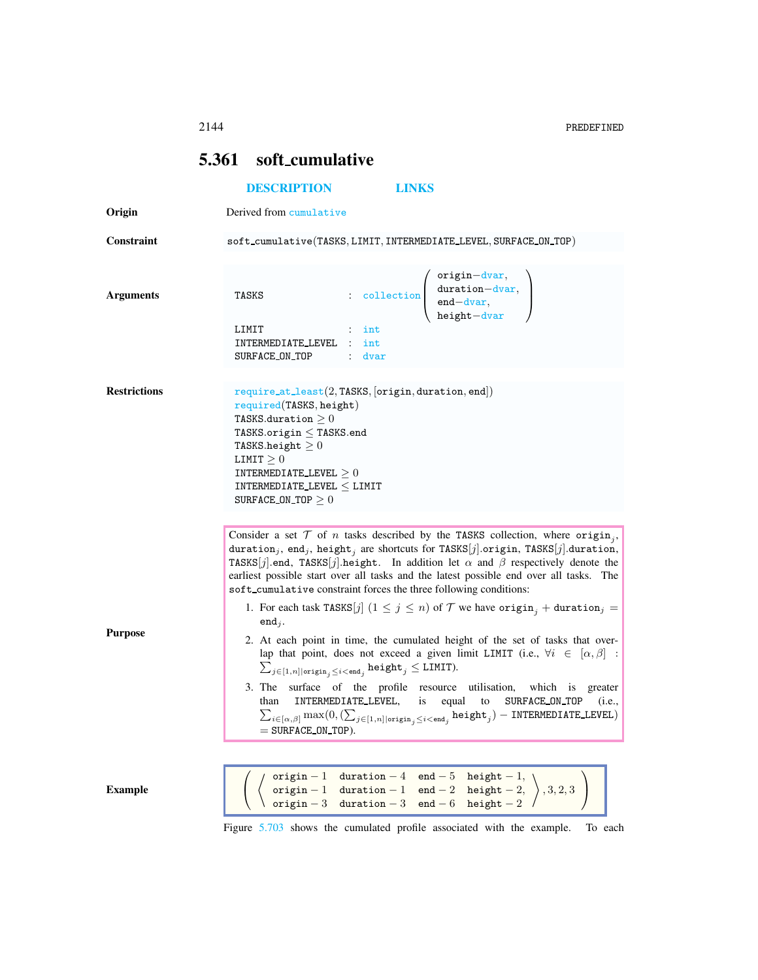## 5.361 soft cumulative

## <span id="page-0-0"></span>[DESCRIPTION](#page-0-0) [LINKS](#page-2-0)

Origin Derived from cumulative

 ${\bf Constraint}~~\texttt{soft\_cumulative}(\texttt{TASKS}, \texttt{LIMIT}, \texttt{INTERMEDIATE\_LEVEL}, \texttt{SWRACE\_ON\_TOP})$ 

| <b>Arguments</b>    | $\begin{array}{cc} \cdot & \cdot & \cdot \\ \cdot & \cdot & \cdot \\ \cdot & \cdot & \cdot \\ \cdot & \cdot & \cdot \\ \cdot & \cdot & \cdot \\ \cdot & \cdot & \cdot \end{array}$<br>TASKS<br>LIMIT<br>int<br>INTERMEDIATE_LEVEL<br>int<br>SURFACE_ON_TOP<br>dvar                                                                                                                                                                                                                                                                                                                                                                                                                                                                                                                                                                                                                                                                                                                                                                                                                                                                                                                                               |
|---------------------|------------------------------------------------------------------------------------------------------------------------------------------------------------------------------------------------------------------------------------------------------------------------------------------------------------------------------------------------------------------------------------------------------------------------------------------------------------------------------------------------------------------------------------------------------------------------------------------------------------------------------------------------------------------------------------------------------------------------------------------------------------------------------------------------------------------------------------------------------------------------------------------------------------------------------------------------------------------------------------------------------------------------------------------------------------------------------------------------------------------------------------------------------------------------------------------------------------------|
|                     |                                                                                                                                                                                                                                                                                                                                                                                                                                                                                                                                                                                                                                                                                                                                                                                                                                                                                                                                                                                                                                                                                                                                                                                                                  |
| <b>Restrictions</b> | $require_at\_least(2, TASKS, [origin, duration, end])$<br>required(TASKS, height)<br>TASKS.duration $\geq 0$<br>TASKS.origin $\leq$ TASKS.end<br>TASKS.height $\geq 0$<br>LIMIT $\geq 0$<br>INTERMEDIATE_LEVEL $\geq 0$<br>INTERMEDIATE_LEVEL $\leq$ LIMIT<br>SURFACE ON TOP $\geq 0$                                                                                                                                                                                                                                                                                                                                                                                                                                                                                                                                                                                                                                                                                                                                                                                                                                                                                                                            |
| <b>Purpose</b>      | Consider a set $T$ of n tasks described by the TASKS collection, where origin <sub>i</sub> ,<br>duration,, end,, height, are shortcuts for TASKS[j].origin, TASKS[j].duration,<br>TASKS[j].end, TASKS[j].height. In addition let $\alpha$ and $\beta$ respectively denote the<br>earliest possible start over all tasks and the latest possible end over all tasks. The<br>soft cumulative constraint forces the three following conditions:<br>1. For each task TASKS[j] $(1 \le j \le n)$ of $T$ we have origin <sub>j</sub> + duration <sub>j</sub> =<br>$end_i$ .<br>2. At each point in time, the cumulated height of the set of tasks that over-<br>lap that point, does not exceed a given limit LIMIT (i.e., $\forall i \in [\alpha, \beta]$ :<br>$\sum_{j \in [1,n]   \text{origin}_j \leq i < \text{end}_j}$ height <sub>j</sub> $\leq$ LIMIT).<br>3. The surface of the profile resource utilisation, which is greater<br>INTERMEDIATE_LEVEL,<br>is<br>equal<br>to<br>SURFACE ON TOP<br>than<br>(i.e.,<br>$\textstyle \sum_{i \in [\alpha, \beta]} \max(0, (\sum_{j \in [1,n] \mid \text{origin}_j \leq i < \text{end}_j} \texttt{height}_j) - \texttt{INTERMEDIATE\_LEVEL})$<br>$=$ SURFACE_ON_TOP). |
| <b>Example</b>      | origin - 1 duration - 4 end - 5 height - 1,<br>origin - 1 duration - 1 end - 2 height - 2, $\Big\}$ , 3, 2, 3<br>origin - 3 duration - 3 end - 6 height - 2                                                                                                                                                                                                                                                                                                                                                                                                                                                                                                                                                                                                                                                                                                                                                                                                                                                                                                                                                                                                                                                      |

Figure [5.703](#page-1-0) shows the cumulated profile associated with the example. To each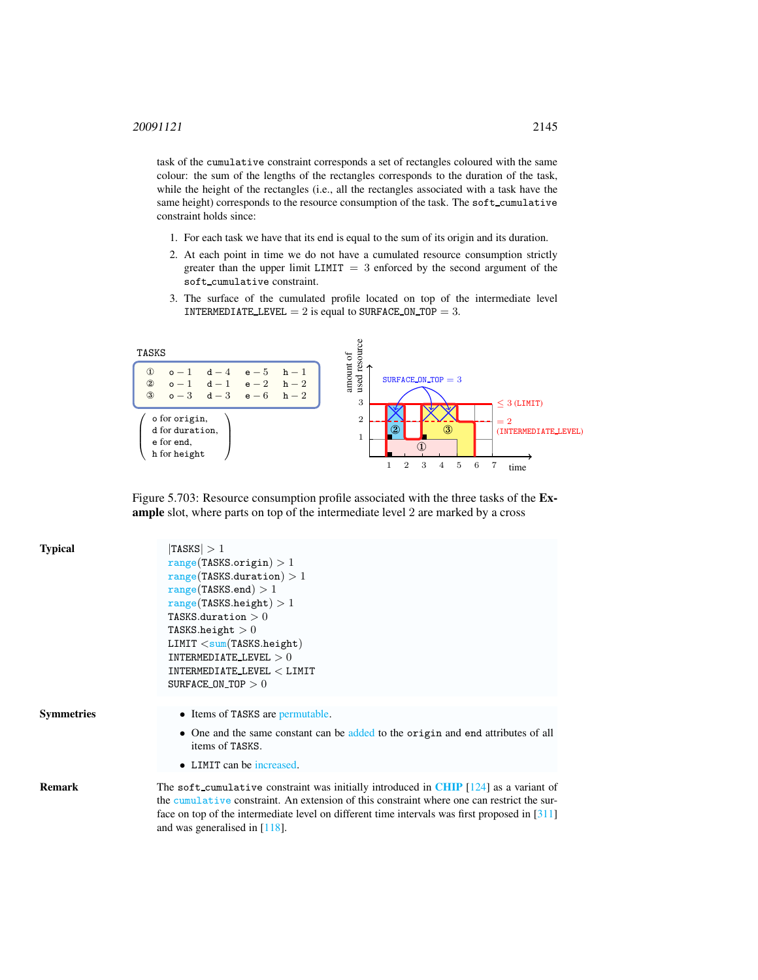task of the cumulative constraint corresponds a set of rectangles coloured with the same colour: the sum of the lengths of the rectangles corresponds to the duration of the task, while the height of the rectangles (i.e., all the rectangles associated with a task have the same height) corresponds to the resource consumption of the task. The soft cumulative constraint holds since:

- 1. For each task we have that its end is equal to the sum of its origin and its duration.
- 2. At each point in time we do not have a cumulated resource consumption strictly greater than the upper limit  $LIMIT = 3$  enforced by the second argument of the soft cumulative constraint.
- 3. The surface of the cumulated profile located on top of the intermediate level INTERMEDIATE\_LEVEL  $= 2$  is equal to SURFACE\_ON\_TOP  $= 3$ .



<span id="page-1-0"></span>Figure 5.703: Resource consumption profile associated with the three tasks of the Example slot, where parts on top of the intermediate level 2 are marked by a cross

| <b>Typical</b>    | TASKS  > 1<br>range(TASKS.origin) > 1<br>range(TASKS.duration) > 1<br>range(TASKS.end) > 1<br>range(TASKS. height) > 1                                                                                                                                                                                                       |  |
|-------------------|------------------------------------------------------------------------------------------------------------------------------------------------------------------------------------------------------------------------------------------------------------------------------------------------------------------------------|--|
|                   | TASKS.duration $>0$<br>TASKS.height $>0$<br>LIMIT < sum(TASKS. height)<br>INTERMEDIATE_LEVEL $>0$<br>$\texttt{INTERMEDIATE\_LEVEL} < \texttt{LIMIT}$<br>SURFACE ON TOP $>0$                                                                                                                                                  |  |
| <b>Symmetries</b> | • Items of TASKS are permutable.<br>• One and the same constant can be added to the origin and end attributes of all<br>items of TASKS.<br>• LIMIT can be increased.                                                                                                                                                         |  |
| <b>Remark</b>     | The soft cumulative constraint was initially introduced in CHIP $[124]$ as a variant of<br>the cumulative constraint. An extension of this constraint where one can restrict the sur-<br>face on top of the intermediate level on different time intervals was first proposed in $[311]$<br>and was generalised in $[118]$ . |  |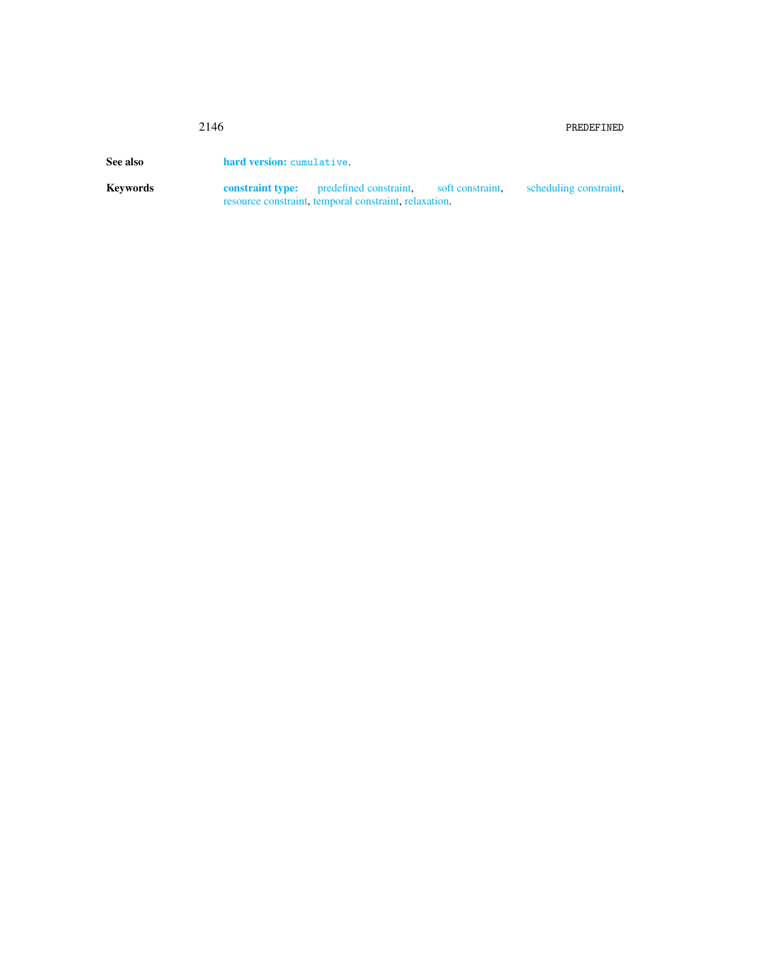<span id="page-2-0"></span>

|          | 2146                      |                                                                                                                         |  | PREDEFINED |  |
|----------|---------------------------|-------------------------------------------------------------------------------------------------------------------------|--|------------|--|
| See also | hard version: cumulative. |                                                                                                                         |  |            |  |
| Kevwords | constraint type:          | predefined constraint, soft constraint, scheduling constraint,<br>resource constraint, temporal constraint, relaxation. |  |            |  |